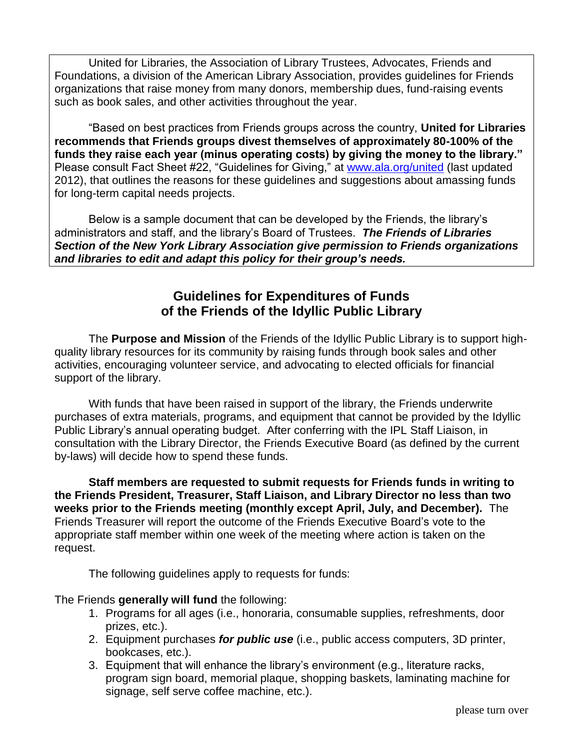United for Libraries, the Association of Library Trustees, Advocates, Friends and Foundations, a division of the American Library Association, provides guidelines for Friends organizations that raise money from many donors, membership dues, fund-raising events such as book sales, and other activities throughout the year.

"Based on best practices from Friends groups across the country, **United for Libraries recommends that Friends groups divest themselves of approximately 80-100% of the funds they raise each year (minus operating costs) by giving the money to the library."** Please consult Fact Sheet #22, "Guidelines for Giving," at [www.ala.org/united](http://www.ala.org/united) (last updated 2012), that outlines the reasons for these guidelines and suggestions about amassing funds for long-term capital needs projects.

Below is a sample document that can be developed by the Friends, the library's administrators and staff, and the library's Board of Trustees. *The Friends of Libraries Section of the New York Library Association give permission to Friends organizations and libraries to edit and adapt this policy for their group's needs.*

## **Guidelines for Expenditures of Funds of the Friends of the Idyllic Public Library**

The **Purpose and Mission** of the Friends of the Idyllic Public Library is to support highquality library resources for its community by raising funds through book sales and other activities, encouraging volunteer service, and advocating to elected officials for financial support of the library.

With funds that have been raised in support of the library, the Friends underwrite purchases of extra materials, programs, and equipment that cannot be provided by the Idyllic Public Library's annual operating budget. After conferring with the IPL Staff Liaison, in consultation with the Library Director, the Friends Executive Board (as defined by the current by-laws) will decide how to spend these funds.

**Staff members are requested to submit requests for Friends funds in writing to the Friends President, Treasurer, Staff Liaison, and Library Director no less than two weeks prior to the Friends meeting (monthly except April, July, and December).** The Friends Treasurer will report the outcome of the Friends Executive Board's vote to the appropriate staff member within one week of the meeting where action is taken on the request.

The following guidelines apply to requests for funds:

The Friends **generally will fund** the following:

- 1. Programs for all ages (i.e., honoraria, consumable supplies, refreshments, door prizes, etc.).
- 2. Equipment purchases *for public use* (i.e., public access computers, 3D printer, bookcases, etc.).
- 3. Equipment that will enhance the library's environment (e.g., literature racks, program sign board, memorial plaque, shopping baskets, laminating machine for signage, self serve coffee machine, etc.).